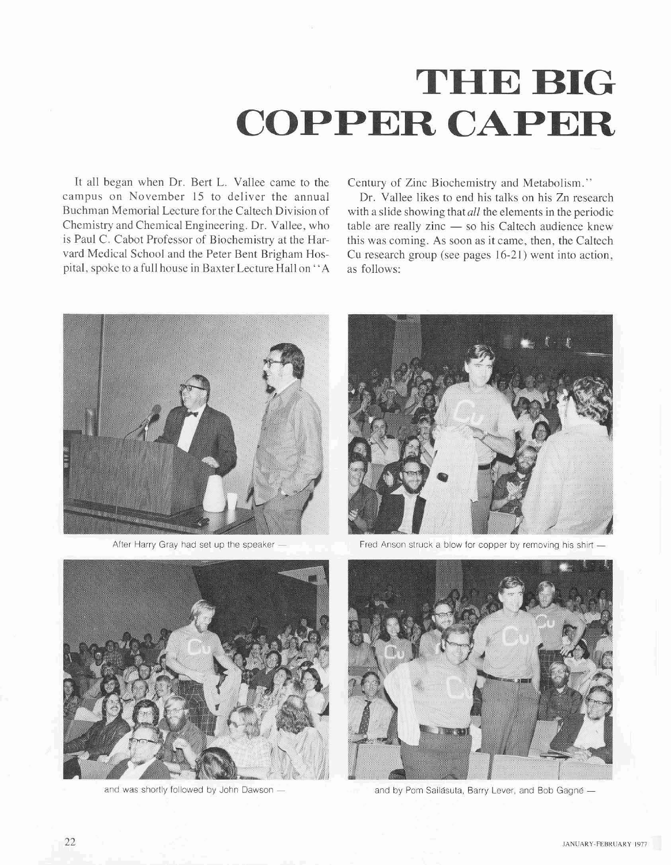## **THE BIG COPPER CAPER**

It all began when Dr. Bert L. Vallee came to the Century of Zinc Biochemistry and Metabolism."<br>
campus on November 15 to deliver the annual Dr. Vallee likes to end his talks on his Zn rese campus on November 15 to deliver the annual Dr. Vallee likes to end his talks on his Zn research<br>Buchman Memorial Lecture for the Caltech Division of with a slide showing that all the elements in the periodic is Paul C. Cabot Professor of Biochemistry at the Har- this was coming. **As** soon as it came, then, the Caltech pital, spoke to a full house in Baxter Lecture Hall on "A

Buchman Memorial Lecture for the Caltech Division of with a slide showing that *all* the elements in the periodic Chemistry and Chemical Engineering. Dr. Vallee, who table are really zinc — so his Caltech audience knew is Cu research group (see pages 16-21) went into action, as follows:





After Harry Gray had set up the speaker  $-$  Fred Anson struck a blow for copper by removing his shirt





and was shortly followed by John Dawson - and by Pom Sailasuta, Barry Lever, and Bob Gagne -